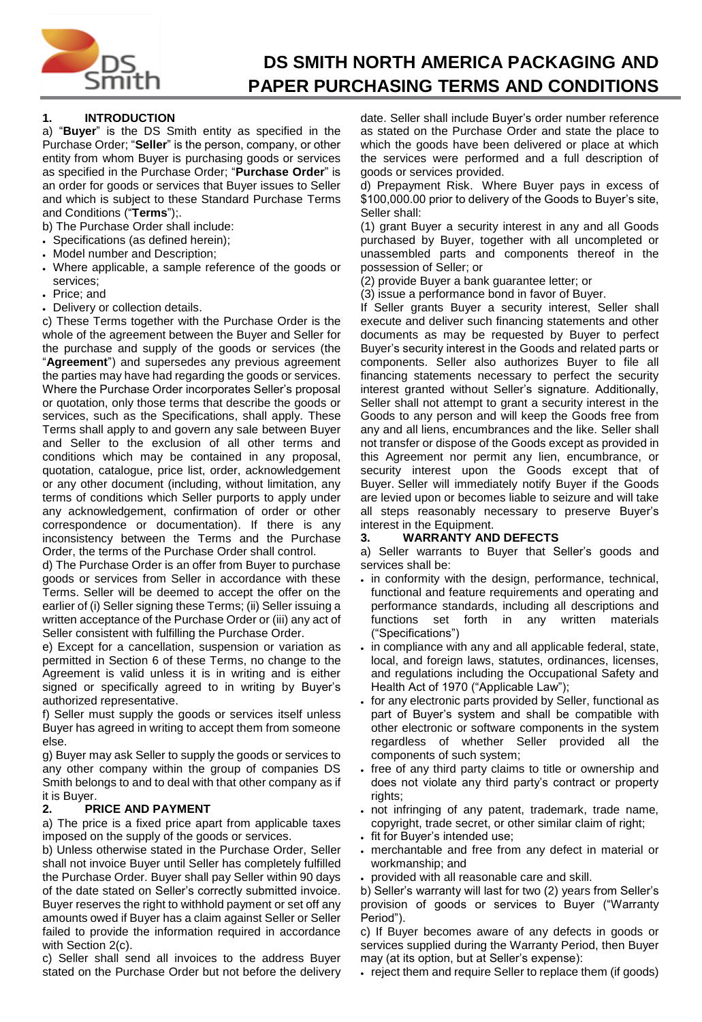

# **DS SMITH NORTH AMERICA PACKAGING AND PAPER PURCHASING TERMS AND CONDITIONS**

### **1. INTRODUCTION**

a) "**Buyer**" is the DS Smith entity as specified in the Purchase Order; "**Seller**" is the person, company, or other entity from whom Buyer is purchasing goods or services as specified in the Purchase Order; "**Purchase Order**" is an order for goods or services that Buyer issues to Seller and which is subject to these Standard Purchase Terms and Conditions ("**Terms**");.

- b) The Purchase Order shall include:
- Specifications (as defined herein);
- Model number and Description;
- Where applicable, a sample reference of the goods or services;
- Price; and
- Delivery or collection details.

c) These Terms together with the Purchase Order is the whole of the agreement between the Buyer and Seller for the purchase and supply of the goods or services (the "**Agreement**") and supersedes any previous agreement the parties may have had regarding the goods or services. Where the Purchase Order incorporates Seller's proposal or quotation, only those terms that describe the goods or services, such as the Specifications, shall apply. These Terms shall apply to and govern any sale between Buyer and Seller to the exclusion of all other terms and conditions which may be contained in any proposal, quotation, catalogue, price list, order, acknowledgement or any other document (including, without limitation, any terms of conditions which Seller purports to apply under any acknowledgement, confirmation of order or other correspondence or documentation). If there is any inconsistency between the Terms and the Purchase Order, the terms of the Purchase Order shall control.

d) The Purchase Order is an offer from Buyer to purchase goods or services from Seller in accordance with these Terms. Seller will be deemed to accept the offer on the earlier of (i) Seller signing these Terms; (ii) Seller issuing a written acceptance of the Purchase Order or (iii) any act of Seller consistent with fulfilling the Purchase Order.

e) Except for a cancellation, suspension or variation as permitted in Section 6 of these Terms, no change to the Agreement is valid unless it is in writing and is either signed or specifically agreed to in writing by Buyer's authorized representative.

f) Seller must supply the goods or services itself unless Buyer has agreed in writing to accept them from someone else.

g) Buyer may ask Seller to supply the goods or services to any other company within the group of companies DS Smith belongs to and to deal with that other company as if it is Buyer.

#### **2. PRICE AND PAYMENT**

a) The price is a fixed price apart from applicable taxes imposed on the supply of the goods or services.

b) Unless otherwise stated in the Purchase Order, Seller shall not invoice Buyer until Seller has completely fulfilled the Purchase Order. Buyer shall pay Seller within 90 days of the date stated on Seller's correctly submitted invoice. Buyer reserves the right to withhold payment or set off any amounts owed if Buyer has a claim against Seller or Seller failed to provide the information required in accordance with Section 2(c).

c) Seller shall send all invoices to the address Buyer stated on the Purchase Order but not before the delivery date. Seller shall include Buyer's order number reference as stated on the Purchase Order and state the place to which the goods have been delivered or place at which the services were performed and a full description of goods or services provided.

d) Prepayment Risk. Where Buyer pays in excess of \$100,000.00 prior to delivery of the Goods to Buyer's site, Seller shall:

(1) grant Buyer a security interest in any and all Goods purchased by Buyer, together with all uncompleted or unassembled parts and components thereof in the possession of Seller; or

(2) provide Buyer a bank guarantee letter; or

(3) issue a performance bond in favor of Buyer.

If Seller grants Buyer a security interest, Seller shall execute and deliver such financing statements and other documents as may be requested by Buyer to perfect Buyer's security interest in the Goods and related parts or components. Seller also authorizes Buyer to file all financing statements necessary to perfect the security interest granted without Seller's signature. Additionally, Seller shall not attempt to grant a security interest in the Goods to any person and will keep the Goods free from any and all liens, encumbrances and the like. Seller shall not transfer or dispose of the Goods except as provided in this Agreement nor permit any lien, encumbrance, or security interest upon the Goods except that of Buyer. Seller will immediately notify Buyer if the Goods are levied upon or becomes liable to seizure and will take all steps reasonably necessary to preserve Buyer's interest in the Equipment.

#### **3. WARRANTY AND DEFECTS**

a) Seller warrants to Buyer that Seller's goods and services shall be:

- in conformity with the design, performance, technical, functional and feature requirements and operating and performance standards, including all descriptions and functions set forth in any written materials ("Specifications")
- in compliance with any and all applicable federal, state, local, and foreign laws, statutes, ordinances, licenses, and regulations including the Occupational Safety and Health Act of 1970 ("Applicable Law");
- for any electronic parts provided by Seller, functional as part of Buyer's system and shall be compatible with other electronic or software components in the system regardless of whether Seller provided all the components of such system;
- free of any third party claims to title or ownership and does not violate any third party's contract or property rights;
- not infringing of any patent, trademark, trade name, copyright, trade secret, or other similar claim of right;
- fit for Buyer's intended use;
- merchantable and free from any defect in material or workmanship; and
- provided with all reasonable care and skill.

b) Seller's warranty will last for two (2) years from Seller's provision of goods or services to Buyer ("Warranty Period").

c) If Buyer becomes aware of any defects in goods or services supplied during the Warranty Period, then Buyer may (at its option, but at Seller's expense):

• reject them and require Seller to replace them (if goods)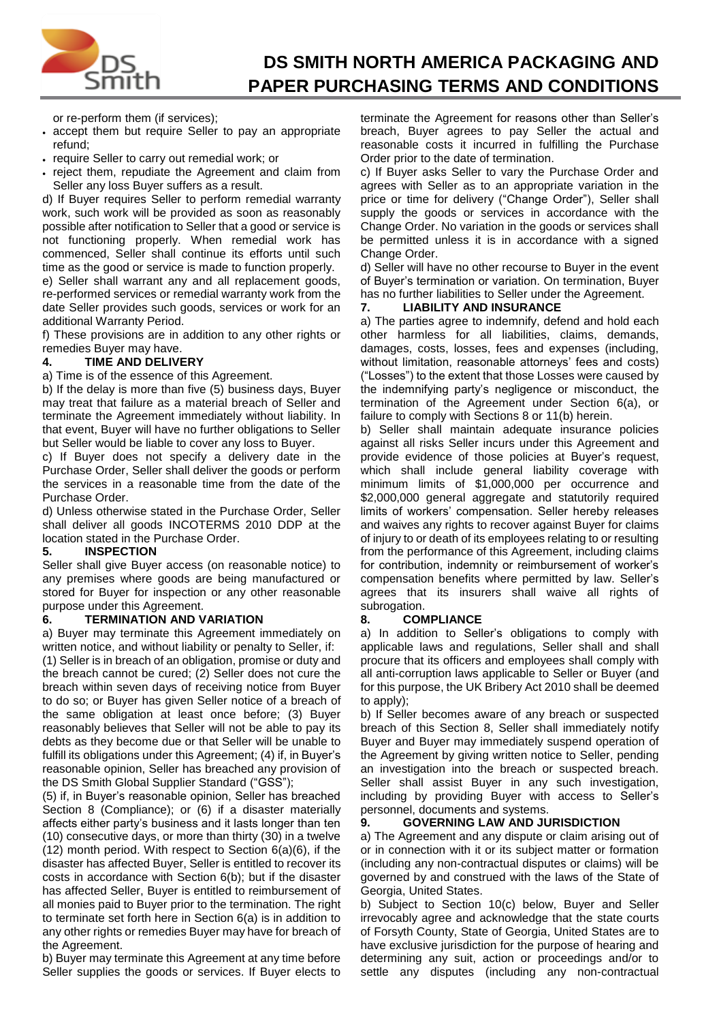

# **DS SMITH NORTH AMERICA PACKAGING AND PAPER PURCHASING TERMS AND CONDITIONS**

or re-perform them (if services);

- accept them but require Seller to pay an appropriate refund;
- require Seller to carry out remedial work; or
- reject them, repudiate the Agreement and claim from Seller any loss Buyer suffers as a result.

d) If Buyer requires Seller to perform remedial warranty work, such work will be provided as soon as reasonably possible after notification to Seller that a good or service is not functioning properly. When remedial work has commenced, Seller shall continue its efforts until such time as the good or service is made to function properly.

e) Seller shall warrant any and all replacement goods, re-performed services or remedial warranty work from the date Seller provides such goods, services or work for an additional Warranty Period.

f) These provisions are in addition to any other rights or remedies Buyer may have.

#### **4. TIME AND DELIVERY**

a) Time is of the essence of this Agreement.

b) If the delay is more than five (5) business days, Buyer may treat that failure as a material breach of Seller and terminate the Agreement immediately without liability. In that event, Buyer will have no further obligations to Seller but Seller would be liable to cover any loss to Buyer.

c) If Buyer does not specify a delivery date in the Purchase Order, Seller shall deliver the goods or perform the services in a reasonable time from the date of the Purchase Order.

d) Unless otherwise stated in the Purchase Order, Seller shall deliver all goods INCOTERMS 2010 DDP at the location stated in the Purchase Order.

#### **5. INSPECTION**

Seller shall give Buyer access (on reasonable notice) to any premises where goods are being manufactured or stored for Buyer for inspection or any other reasonable purpose under this Agreement.

#### **6. TERMINATION AND VARIATION**

a) Buyer may terminate this Agreement immediately on written notice, and without liability or penalty to Seller, if:

(1) Seller is in breach of an obligation, promise or duty and the breach cannot be cured; (2) Seller does not cure the breach within seven days of receiving notice from Buyer to do so; or Buyer has given Seller notice of a breach of the same obligation at least once before; (3) Buyer reasonably believes that Seller will not be able to pay its debts as they become due or that Seller will be unable to fulfill its obligations under this Agreement; (4) if, in Buyer's reasonable opinion, Seller has breached any provision of the DS Smith Global Supplier Standard ("GSS");

(5) if, in Buyer's reasonable opinion, Seller has breached Section 8 (Compliance); or (6) if a disaster materially affects either party's business and it lasts longer than ten (10) consecutive days, or more than thirty (30) in a twelve  $(12)$  month period. With respect to Section  $6(a)(6)$ , if the disaster has affected Buyer, Seller is entitled to recover its costs in accordance with Section 6(b); but if the disaster has affected Seller, Buyer is entitled to reimbursement of all monies paid to Buyer prior to the termination. The right to terminate set forth here in Section 6(a) is in addition to any other rights or remedies Buyer may have for breach of the Agreement.

b) Buyer may terminate this Agreement at any time before Seller supplies the goods or services. If Buyer elects to terminate the Agreement for reasons other than Seller's breach, Buyer agrees to pay Seller the actual and reasonable costs it incurred in fulfilling the Purchase Order prior to the date of termination.

c) If Buyer asks Seller to vary the Purchase Order and agrees with Seller as to an appropriate variation in the price or time for delivery ("Change Order"), Seller shall supply the goods or services in accordance with the Change Order. No variation in the goods or services shall be permitted unless it is in accordance with a signed Change Order.

d) Seller will have no other recourse to Buyer in the event of Buyer's termination or variation. On termination, Buyer has no further liabilities to Seller under the Agreement.

#### **7. LIABILITY AND INSURANCE**

a) The parties agree to indemnify, defend and hold each other harmless for all liabilities, claims, demands, damages, costs, losses, fees and expenses (including, without limitation, reasonable attorneys' fees and costs) ("Losses") to the extent that those Losses were caused by the indemnifying party's negligence or misconduct, the termination of the Agreement under Section 6(a), or failure to comply with Sections 8 or 11(b) herein.

b) Seller shall maintain adequate insurance policies against all risks Seller incurs under this Agreement and provide evidence of those policies at Buyer's request, which shall include general liability coverage with minimum limits of \$1,000,000 per occurrence and \$2,000,000 general aggregate and statutorily required limits of workers' compensation. Seller hereby releases and waives any rights to recover against Buyer for claims of injury to or death of its employees relating to or resulting from the performance of this Agreement, including claims for contribution, indemnity or reimbursement of worker's compensation benefits where permitted by law. Seller's agrees that its insurers shall waive all rights of subrogation.

#### **8. COMPLIANCE**

a) In addition to Seller's obligations to comply with applicable laws and regulations, Seller shall and shall procure that its officers and employees shall comply with all anti-corruption laws applicable to Seller or Buyer (and for this purpose, the UK Bribery Act 2010 shall be deemed to apply);

b) If Seller becomes aware of any breach or suspected breach of this Section 8, Seller shall immediately notify Buyer and Buyer may immediately suspend operation of the Agreement by giving written notice to Seller, pending an investigation into the breach or suspected breach. Seller shall assist Buyer in any such investigation, including by providing Buyer with access to Seller's personnel, documents and systems.

#### **9. GOVERNING LAW AND JURISDICTION**

a) The Agreement and any dispute or claim arising out of or in connection with it or its subject matter or formation (including any non-contractual disputes or claims) will be governed by and construed with the laws of the State of Georgia, United States.

b) Subject to Section 10(c) below, Buyer and Seller irrevocably agree and acknowledge that the state courts of Forsyth County, State of Georgia, United States are to have exclusive jurisdiction for the purpose of hearing and determining any suit, action or proceedings and/or to settle any disputes (including any non-contractual